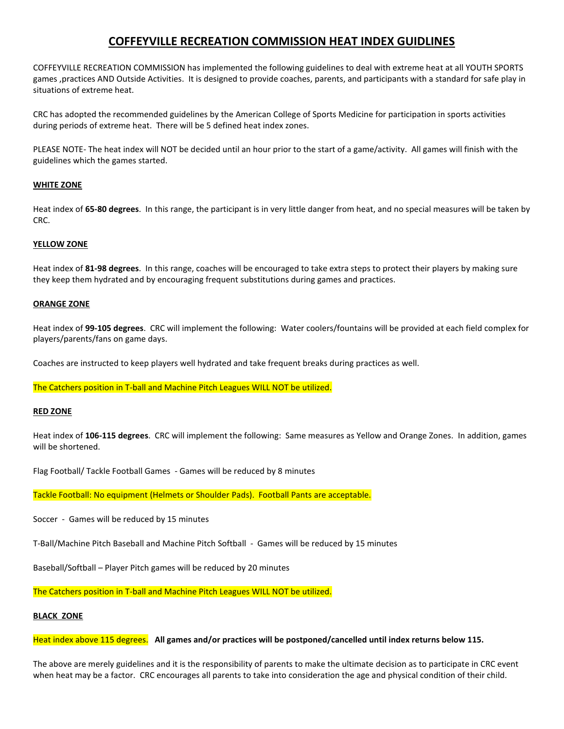# **COFFEYVILLE RECREATION COMMISSION HEAT INDEX GUIDLINES**

COFFEYVILLE RECREATION COMMISSION has implemented the following guidelines to deal with extreme heat at all YOUTH SPORTS games ,practices AND Outside Activities. It is designed to provide coaches, parents, and participants with a standard for safe play in situations of extreme heat.

CRC has adopted the recommended guidelines by the American College of Sports Medicine for participation in sports activities during periods of extreme heat. There will be 5 defined heat index zones.

PLEASE NOTE- The heat index will NOT be decided until an hour prior to the start of a game/activity. All games will finish with the guidelines which the games started.

# **WHITE ZONE**

Heat index of **65-80 degrees**. In this range, the participant is in very little danger from heat, and no special measures will be taken by CRC.

# **YELLOW ZONE**

Heat index of **81-98 degrees**. In this range, coaches will be encouraged to take extra steps to protect their players by making sure they keep them hydrated and by encouraging frequent substitutions during games and practices.

### **ORANGE ZONE**

Heat index of **99-105 degrees**. CRC will implement the following: Water coolers/fountains will be provided at each field complex for players/parents/fans on game days.

Coaches are instructed to keep players well hydrated and take frequent breaks during practices as well.

The Catchers position in T-ball and Machine Pitch Leagues WILL NOT be utilized.

### **RED ZONE**

Heat index of **106-115 degrees**. CRC will implement the following: Same measures as Yellow and Orange Zones. In addition, games will be shortened.

Flag Football/ Tackle Football Games - Games will be reduced by 8 minutes

Tackle Football: No equipment (Helmets or Shoulder Pads). Football Pants are acceptable.

Soccer - Games will be reduced by 15 minutes

T-Ball/Machine Pitch Baseball and Machine Pitch Softball - Games will be reduced by 15 minutes

Baseball/Softball – Player Pitch games will be reduced by 20 minutes

The Catchers position in T-ball and Machine Pitch Leagues WILL NOT be utilized.

### **BLACK ZONE**

Heat index above 115 degrees. **All games and/or practices will be postponed/cancelled until index returns below 115.**

The above are merely guidelines and it is the responsibility of parents to make the ultimate decision as to participate in CRC event when heat may be a factor. CRC encourages all parents to take into consideration the age and physical condition of their child.